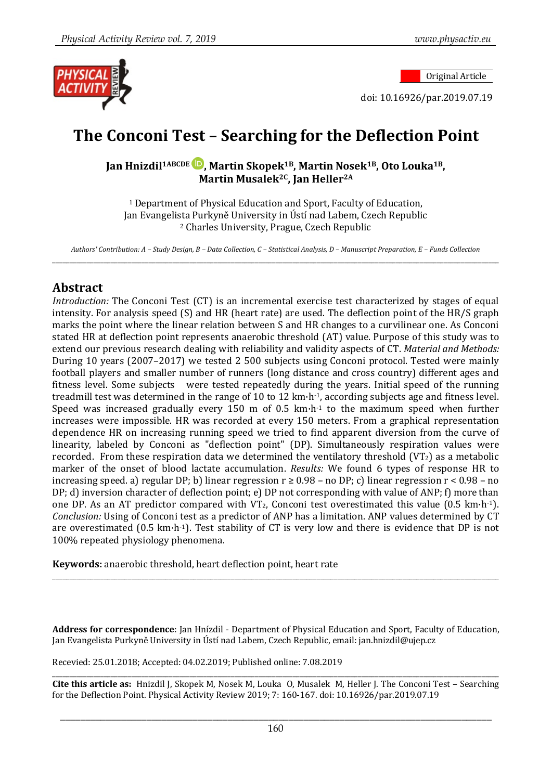Original Article

doi: 10.16926/par.2019.07.19

# **The Conconi Test – Searching for the Deflection Point**

**Jan Hnizdil1ABCDE , Martin Skopek1B, Martin Nosek1B, Oto Louka1B, Martin Musalek2C, Jan Heller2A**

<sup>1</sup> Department of Physical Education and Sport, Faculty of Education, Jan Evangelista Purkyně University in Ústí nad Labem, Czech Republic <sup>2</sup> Charles University, Prague, Czech Republic

*Authors' Contribution: A – Study Design, B – Data Collection, C – Statistical Analysis, D – Manuscript Preparation, E – Funds Collection* \_\_\_\_\_\_\_\_\_\_\_\_\_\_\_\_\_\_\_\_\_\_\_\_\_\_\_\_\_\_\_\_\_\_\_\_\_\_\_\_\_\_\_\_\_\_\_\_\_\_\_\_\_\_\_\_\_\_\_\_\_\_\_\_\_\_\_\_\_\_\_\_\_\_\_\_\_\_\_\_\_\_\_\_\_\_\_\_\_\_\_\_\_\_\_\_\_\_\_\_\_\_\_\_\_\_\_\_\_\_\_\_\_\_\_\_\_\_\_\_\_\_\_\_\_\_\_\_\_\_

#### **Abstract**

*Introduction:* The Conconi Test (CT) is an incremental exercise test characterized by stages of equal intensity. For analysis speed (S) and HR (heart rate) are used. The deflection point of the HR/S graph marks the point where the linear relation between S and HR changes to a curvilinear one. As Conconi stated HR at deflection point represents anaerobic threshold (AT) value. Purpose of this study was to extend our previous research dealing with reliability and validity aspects of CT. *Material and Methods:* During 10 years (2007–2017) we tested 2 500 subjects using Conconi protocol. Tested were mainly football players and smaller number of runners (long distance and cross country) different ages and fitness level. Some subjects were tested repeatedly during the years. Initial speed of the running treadmill test was determined in the range of 10 to 12 km·h-1, according subjects age and fitness level. Speed was increased gradually every 150 m of 0.5 km·h-1 to the maximum speed when further increases were impossible. HR was recorded at every 150 meters. From a graphical representation dependence HR on increasing running speed we tried to find apparent diversion from the curve of linearity, labeled by Conconi as "deflection point" (DP). Simultaneously respiration values were recorded. From these respiration data we determined the ventilatory threshold  $(VT_2)$  as a metabolic marker of the onset of blood lactate accumulation. *Results:* We found 6 types of response HR to increasing speed. a) regular DP; b) linear regression  $r \ge 0.98$  – no DP; c) linear regression  $r < 0.98$  – no DP; d) inversion character of deflection point; e) DP not corresponding with value of ANP; f) more than one DP. As an AT predictor compared with VT<sub>2</sub>, Conconi test overestimated this value (0.5 km·h<sup>-1</sup>). *Conclusion:* Using of Conconi test as a predictor of ANP has a limitation. ANP values determined by CT are overestimated (0.5 km·h-1). Test stability of CT is very low and there is evidence that DP is not 100% repeated physiology phenomena.

**Keywords:** anaerobic threshold, heart deflection point, heart rate

**Address for correspondence**: Jan Hnízdil - Department of Physical Education and Sport, Faculty of Education, Jan Evangelista Purkyně University in Ústí nad Labem, Czech Republic, email: jan.hnizdil@ujep.cz

\_\_\_\_\_\_\_\_\_\_\_\_\_\_\_\_\_\_\_\_\_\_\_\_\_\_\_\_\_\_\_\_\_\_\_\_\_\_\_\_\_\_\_\_\_\_\_\_\_\_\_\_\_\_\_\_\_\_\_\_\_\_\_\_\_\_\_\_\_\_\_\_\_\_\_\_\_\_\_\_\_\_\_\_\_\_\_\_\_\_\_\_\_\_\_\_\_\_\_\_\_\_\_\_\_\_\_\_\_\_\_\_\_\_\_\_\_\_\_\_\_\_\_\_\_\_\_\_\_\_

Recevied: 25.01.2018; Accepted: 04.02.2019; Published online: 7.08.2019

\_\_\_\_\_\_\_\_\_\_\_\_\_\_\_\_\_\_\_\_\_\_\_\_\_\_\_\_\_\_\_\_\_\_\_\_\_\_\_\_\_\_\_\_\_\_\_\_\_\_\_\_\_\_\_\_\_\_\_\_\_\_\_\_\_\_\_\_\_\_\_\_\_\_\_\_\_\_\_\_\_\_\_\_\_\_\_\_\_\_\_\_\_\_\_\_\_\_\_\_\_\_\_\_\_\_\_\_\_\_\_\_\_\_\_\_\_\_\_\_\_\_\_\_\_\_\_\_\_\_ **Cite this article as:** Hnizdil J, Skopek M, Nosek M, Louka O, Musalek M, Heller J. The Conconi Test – Searching for the Deflection Point. Physical Activity Review 2019; 7: 160-167. doi: 10.16926/par.2019.07.19

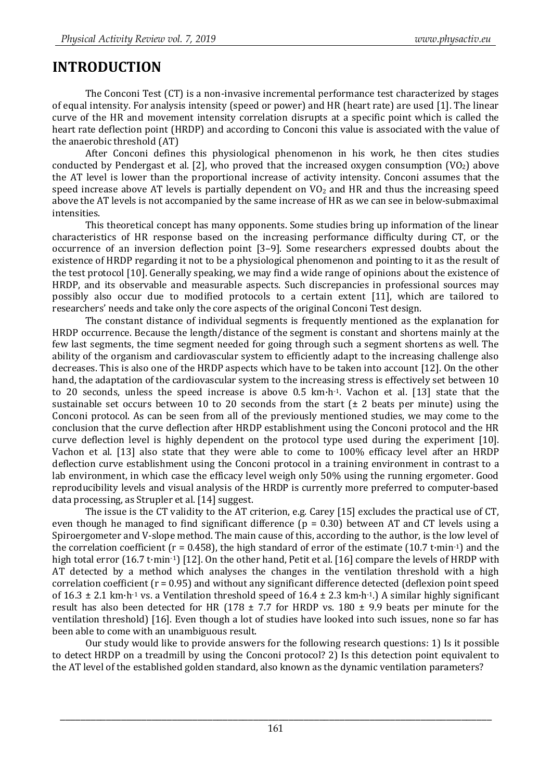## **INTRODUCTION**

The Conconi Test (CT) is a non-invasive incremental performance test characterized by stages of equal intensity. For analysis intensity (speed or power) and HR (heart rate) are used [1]. The linear curve of the HR and movement intensity correlation disrupts at a specific point which is called the heart rate deflection point (HRDP) and according to Conconi this value is associated with the value of the anaerobic threshold (AT)

After Conconi defines this physiological phenomenon in his work, he then cites studies conducted by Pendergast et al. [2], who proved that the increased oxygen consumption  $(VO<sub>2</sub>)$  above the AT level is lower than the proportional increase of activity intensity. Conconi assumes that the speed increase above AT levels is partially dependent on  $V_2$  and HR and thus the increasing speed above the AT levels is not accompanied by the same increase of HR as we can see in below-submaximal intensities.

This theoretical concept has many opponents. Some studies bring up information of the linear characteristics of HR response based on the increasing performance difficulty during CT, or the occurrence of an inversion deflection point [3–9]. Some researchers expressed doubts about the existence of HRDP regarding it not to be a physiological phenomenon and pointing to it as the result of the test protocol [10]. Generally speaking, we may find a wide range of opinions about the existence of HRDP, and its observable and measurable aspects. Such discrepancies in professional sources may possibly also occur due to modified protocols to a certain extent [11], which are tailored to researchers' needs and take only the core aspects of the original Conconi Test design.

The constant distance of individual segments is frequently mentioned as the explanation for HRDP occurrence. Because the length/distance of the segment is constant and shortens mainly at the few last segments, the time segment needed for going through such a segment shortens as well. The ability of the organism and cardiovascular system to efficiently adapt to the increasing challenge also decreases. This is also one of the HRDP aspects which have to be taken into account [12]. On the other hand, the adaptation of the cardiovascular system to the increasing stress is effectively set between 10 to 20 seconds, unless the speed increase is above 0.5 km·h-1. Vachon et al. [13] state that the sustainable set occurs between 10 to 20 seconds from the start  $(\pm 2)$  beats per minute) using the Conconi protocol. As can be seen from all of the previously mentioned studies, we may come to the conclusion that the curve deflection after HRDP establishment using the Conconi protocol and the HR curve deflection level is highly dependent on the protocol type used during the experiment [10]. Vachon et al. [13] also state that they were able to come to 100% efficacy level after an HRDP deflection curve establishment using the Conconi protocol in a training environment in contrast to a lab environment, in which case the efficacy level weigh only 50% using the running ergometer. Good reproducibility levels and visual analysis of the HRDP is currently more preferred to computer-based data processing, as Strupler et al. [14] suggest.

The issue is the CT validity to the AT criterion, e.g. Carey [15] excludes the practical use of CT, even though he managed to find significant difference (p = 0.30) between AT and CT levels using a Spiroergometer and V-slope method. The main cause of this, according to the author, is the low level of the correlation coefficient ( $r = 0.458$ ), the high standard of error of the estimate (10.7 t·min<sup>-1</sup>) and the high total error (16.7 t·min·1) [12]. On the other hand, Petit et al. [16] compare the levels of HRDP with AT detected by a method which analyses the changes in the ventilation threshold with a high correlation coefficient (r = 0.95) and without any significant difference detected (deflexion point speed of 16.3  $\pm$  2.1 km·h<sup>-1</sup> vs. a Ventilation threshold speed of 16.4  $\pm$  2.3 km·h<sup>-1</sup>.) A similar highly significant result has also been detected for HR (178  $\pm$  7.7 for HRDP vs. 180  $\pm$  9.9 beats per minute for the ventilation threshold) [16]. Even though a lot of studies have looked into such issues, none so far has been able to come with an unambiguous result.

Our study would like to provide answers for the following research questions: 1) Is it possible to detect HRDP on a treadmill by using the Conconi protocol? 2) Is this detection point equivalent to the AT level of the established golden standard, also known as the dynamic ventilation parameters?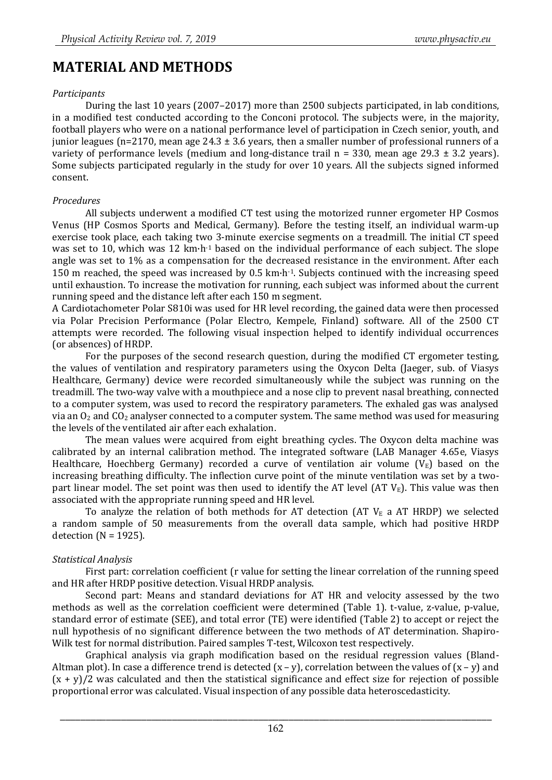## **MATERIAL AND METHODS**

#### *Participants*

During the last 10 years (2007–2017) more than 2500 subjects participated, in lab conditions, in a modified test conducted according to the Conconi protocol. The subjects were, in the majority, football players who were on a national performance level of participation in Czech senior, youth, and junior leagues (n=2170, mean age  $24.3 \pm 3.6$  years, then a smaller number of professional runners of a variety of performance levels (medium and long-distance trail  $n = 330$ , mean age 29.3  $\pm$  3.2 years). Some subjects participated regularly in the study for over 10 years. All the subjects signed informed consent.

#### *Procedures*

All subjects underwent a modified CT test using the motorized runner ergometer HP Cosmos Venus (HP Cosmos Sports and Medical, Germany). Before the testing itself, an individual warm-up exercise took place, each taking two 3-minute exercise segments on a treadmill. The initial CT speed was set to 10, which was 12 km·h-1 based on the individual performance of each subject. The slope angle was set to 1% as a compensation for the decreased resistance in the environment. After each 150 m reached, the speed was increased by 0.5 km·h-1. Subjects continued with the increasing speed until exhaustion. To increase the motivation for running, each subject was informed about the current running speed and the distance left after each 150 m segment.

A Cardiotachometer Polar S810i was used for HR level recording, the gained data were then processed via Polar Precision Performance (Polar Electro, Kempele, Finland) software. All of the 2500 CT attempts were recorded. The following visual inspection helped to identify individual occurrences (or absences) of HRDP.

For the purposes of the second research question, during the modified CT ergometer testing, the values of ventilation and respiratory parameters using the Oxycon Delta (Jaeger, sub. of Viasys Healthcare, Germany) device were recorded simultaneously while the subject was running on the treadmill. The two-way valve with a mouthpiece and a nose clip to prevent nasal breathing, connected to a computer system, was used to record the respiratory parameters. The exhaled gas was analysed via an  $O_2$  and  $CO_2$  analyser connected to a computer system. The same method was used for measuring the levels of the ventilated air after each exhalation.

The mean values were acquired from eight breathing cycles. The Oxycon delta machine was calibrated by an internal calibration method. The integrated software (LAB Manager 4.65e, Viasys Healthcare, Hoechberg Germany) recorded a curve of ventilation air volume  $(V_E)$  based on the increasing breathing difficulty. The inflection curve point of the minute ventilation was set by a twopart linear model. The set point was then used to identify the AT level (AT  $V_{E}$ ). This value was then associated with the appropriate running speed and HR level.

To analyze the relation of both methods for AT detection (AT  $V_{E}$  a AT HRDP) we selected a random sample of 50 measurements from the overall data sample, which had positive HRDP detection ( $N = 1925$ ).

#### *Statistical Analysis*

First part: correlation coefficient (r value for setting the linear correlation of the running speed and HR after HRDP positive detection. Visual HRDP analysis.

Second part: Means and standard deviations for AT HR and velocity assessed by the two methods as well as the correlation coefficient were determined (Table 1). t-value, z-value, p-value, standard error of estimate (SEE), and total error (TE) were identified (Table 2) to accept or reject the null hypothesis of no significant difference between the two methods of AT determination. Shapiro-Wilk test for normal distribution. Paired samples T-test, Wilcoxon test respectively.

Graphical analysis via graph modification based on the residual regression values (Bland-Altman plot). In case a difference trend is detected  $(x - y)$ , correlation between the values of  $(x - y)$  and  $(x + y)/2$  was calculated and then the statistical significance and effect size for rejection of possible proportional error was calculated. Visual inspection of any possible data heteroscedasticity.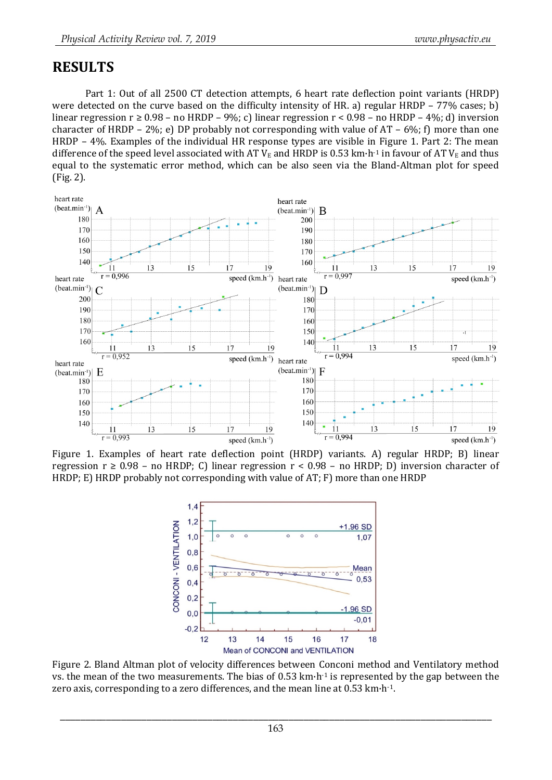### **RESULTS**

Part 1: Out of all 2500 CT detection attempts, 6 heart rate deflection point variants (HRDP) were detected on the curve based on the difficulty intensity of HR. a) regular HRDP – 77% cases; b) linear regression  $r \ge 0.98$  – no HRDP – 9%; c) linear regression  $r < 0.98$  – no HRDP – 4%; d) inversion character of HRDP – 2%; e) DP probably not corresponding with value of  $AT - 6\%$ ; f) more than one HRDP – 4%. Examples of the individual HR response types are visible in Figure 1. Part 2: The mean difference of the speed level associated with AT  $V_E$  and HRDP is 0.53 km·h<sup>-1</sup> in favour of AT  $V_E$  and thus equal to the systematic error method, which can be also seen via the Bland-Altman plot for speed (Fig. 2).



Figure 1. Examples of heart rate deflection point (HRDP) variants. A) regular HRDP; B) linear regression  $r \geq 0.98$  – no HRDP; C) linear regression  $r < 0.98$  – no HRDP; D) inversion character of HRDP; E) HRDP probably not corresponding with value of AT; F) more than one HRDP



Figure 2. Bland Altman plot of velocity differences between Conconi method and Ventilatory method vs. the mean of the two measurements. The bias of 0.53 km·h-1 is represented by the gap between the zero axis, corresponding to a zero differences, and the mean line at 0.53 km·h-1.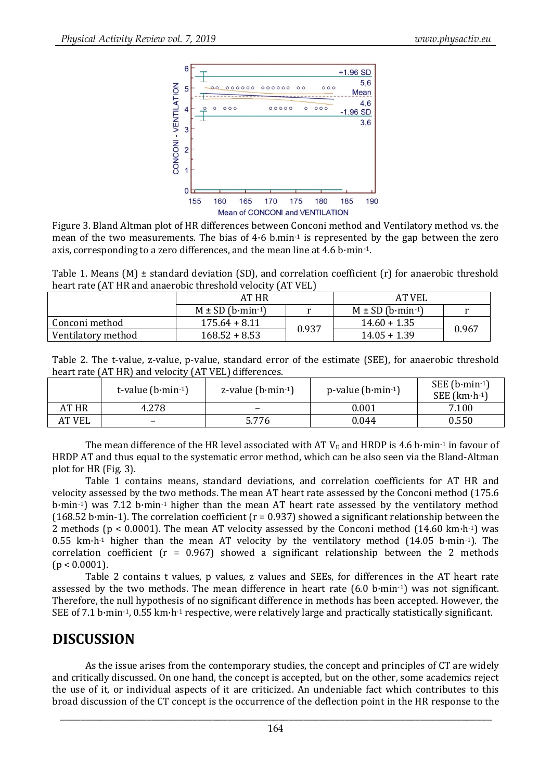

Figure 3. Bland Altman plot of HR differences between Conconi method and Ventilatory method vs. the mean of the two measurements. The bias of 4·6 b.min-1 is represented by the gap between the zero axis, corresponding to a zero differences, and the mean line at 4.6 b·min-1.

Table 1. Means  $(M) \pm$  standard deviation (SD), and correlation coefficient  $(r)$  for anaerobic threshold heart rate (AT HR and anaerobic threshold velocity (AT VEL)

|                    | AT HR                             |       | AT VEL               |       |  |  |
|--------------------|-----------------------------------|-------|----------------------|-------|--|--|
|                    | $M \pm SD$ (b·min <sup>-1</sup> ) |       | $M \pm SD$ (b·min-1) |       |  |  |
| Conconi method     | $175.64 + 8.11$                   |       | $14.60 + 1.35$       | 0.967 |  |  |
| Ventilatory method | $168.52 + 8.53$                   | 0.937 | $14.05 + 1.39$       |       |  |  |

| Table 2. The t-value, z-value, p-value, standard error of the estimate (SEE), for anaerobic threshold |  |  |  |
|-------------------------------------------------------------------------------------------------------|--|--|--|
| heart rate (AT HR) and velocity (AT VEL) differences.                                                 |  |  |  |
|                                                                                                       |  |  |  |

|        | t-value $(b\cdot min^{-1})$ | z-value $(b \cdot min^{-1})$ | $p$ -value (b·min-1) | SEE $(b\cdot min^{-1})$<br>SEE $(km \cdot h \cdot 1)$ |
|--------|-----------------------------|------------------------------|----------------------|-------------------------------------------------------|
| AT HR  | 4.278                       | $\overline{\phantom{0}}$     | 0.001                | 7.100                                                 |
| AT VEL | -                           | 5.776                        | 0.044                | 0.550                                                 |

The mean difference of the HR level associated with AT  $V_E$  and HRDP is 4.6 b·min<sup>-1</sup> in favour of HRDP AT and thus equal to the systematic error method, which can be also seen via the Bland-Altman plot for HR (Fig. 3).

Table 1 contains means, standard deviations, and correlation coefficients for AT HR and velocity assessed by the two methods. The mean AT heart rate assessed by the Conconi method (175.6 b·min-1) was 7.12 b·min-1 higher than the mean AT heart rate assessed by the ventilatory method (168.52 b·min-1). The correlation coefficient ( $r = 0.937$ ) showed a significant relationship between the 2 methods ( $p < 0.0001$ ). The mean AT velocity assessed by the Conconi method (14.60 km·h·1) was 0.55 km $\cdot$ h<sup>-1</sup> higher than the mean AT velocity by the ventilatory method (14.05 b $\cdot$ min<sup>-1</sup>). The correlation coefficient ( $r = 0.967$ ) showed a significant relationship between the 2 methods  $(p < 0.0001)$ .

Table 2 contains t values, p values, z values and SEEs, for differences in the AT heart rate assessed by the two methods. The mean difference in heart rate (6.0 b·min-1) was not significant. Therefore, the null hypothesis of no significant difference in methods has been accepted. However, the SEE of 7.1 b·min-1, 0.55 km·h-1 respective, were relatively large and practically statistically significant.

### **DISCUSSION**

As the issue arises from the contemporary studies, the concept and principles of CT are widely and critically discussed. On one hand, the concept is accepted, but on the other, some academics reject the use of it, or individual aspects of it are criticized. An undeniable fact which contributes to this broad discussion of the CT concept is the occurrence of the deflection point in the HR response to the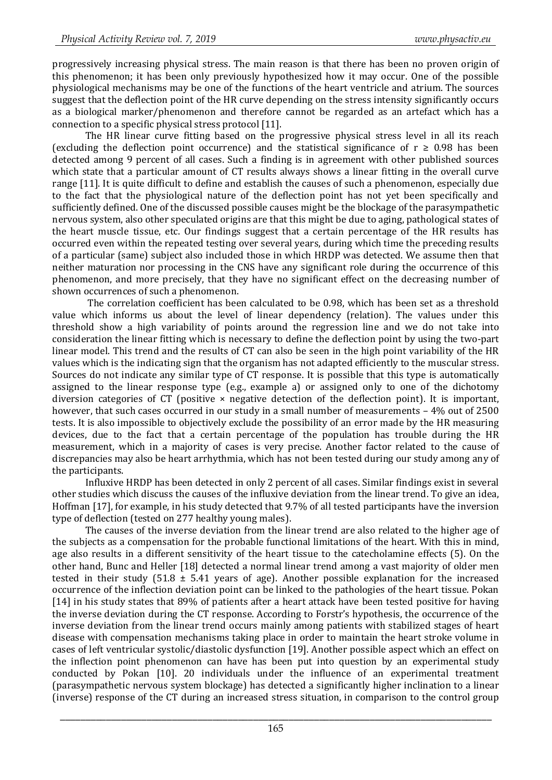progressively increasing physical stress. The main reason is that there has been no proven origin of this phenomenon; it has been only previously hypothesized how it may occur. One of the possible physiological mechanisms may be one of the functions of the heart ventricle and atrium. The sources suggest that the deflection point of the HR curve depending on the stress intensity significantly occurs as a biological marker/phenomenon and therefore cannot be regarded as an artefact which has a connection to a specific physical stress protocol [11].

The HR linear curve fitting based on the progressive physical stress level in all its reach (excluding the deflection point occurrence) and the statistical significance of  $r \geq 0.98$  has been detected among 9 percent of all cases. Such a finding is in agreement with other published sources which state that a particular amount of CT results always shows a linear fitting in the overall curve range [11]. It is quite difficult to define and establish the causes of such a phenomenon, especially due to the fact that the physiological nature of the deflection point has not yet been specifically and sufficiently defined. One of the discussed possible causes might be the blockage of the parasympathetic nervous system, also other speculated origins are that this might be due to aging, pathological states of the heart muscle tissue, etc. Our findings suggest that a certain percentage of the HR results has occurred even within the repeated testing over several years, during which time the preceding results of a particular (same) subject also included those in which HRDP was detected. We assume then that neither maturation nor processing in the CNS have any significant role during the occurrence of this phenomenon, and more precisely, that they have no significant effect on the decreasing number of shown occurrences of such a phenomenon.

The correlation coefficient has been calculated to be 0.98, which has been set as a threshold value which informs us about the level of linear dependency (relation). The values under this threshold show a high variability of points around the regression line and we do not take into consideration the linear fitting which is necessary to define the deflection point by using the two-part linear model. This trend and the results of CT can also be seen in the high point variability of the HR values which is the indicating sign that the organism has not adapted efficiently to the muscular stress. Sources do not indicate any similar type of CT response. It is possible that this type is automatically assigned to the linear response type (e.g., example a) or assigned only to one of the dichotomy diversion categories of CT (positive  $\times$  negative detection of the deflection point). It is important, however, that such cases occurred in our study in a small number of measurements – 4% out of 2500 tests. It is also impossible to objectively exclude the possibility of an error made by the HR measuring devices, due to the fact that a certain percentage of the population has trouble during the HR measurement, which in a majority of cases is very precise. Another factor related to the cause of discrepancies may also be heart arrhythmia, which has not been tested during our study among any of the participants.

Influxive HRDP has been detected in only 2 percent of all cases. Similar findings exist in several other studies which discuss the causes of the influxive deviation from the linear trend. To give an idea, Hoffman [17], for example, in his study detected that 9.7% of all tested participants have the inversion type of deflection (tested on 277 healthy young males).

The causes of the inverse deviation from the linear trend are also related to the higher age of the subjects as a compensation for the probable functional limitations of the heart. With this in mind, age also results in a different sensitivity of the heart tissue to the catecholamine effects (5). On the other hand, Bunc and Heller [18] detected a normal linear trend among a vast majority of older men tested in their study (51.8  $\pm$  5.41 years of age). Another possible explanation for the increased occurrence of the inflection deviation point can be linked to the pathologies of the heart tissue. Pokan [14] in his study states that 89% of patients after a heart attack have been tested positive for having the inverse deviation during the CT response. According to Forstr's hypothesis, the occurrence of the inverse deviation from the linear trend occurs mainly among patients with stabilized stages of heart disease with compensation mechanisms taking place in order to maintain the heart stroke volume in cases of left ventricular systolic/diastolic dysfunction [19]. Another possible aspect which an effect on the inflection point phenomenon can have has been put into question by an experimental study conducted by Pokan [10]. 20 individuals under the influence of an experimental treatment (parasympathetic nervous system blockage) has detected a significantly higher inclination to a linear (inverse) response of the CT during an increased stress situation, in comparison to the control group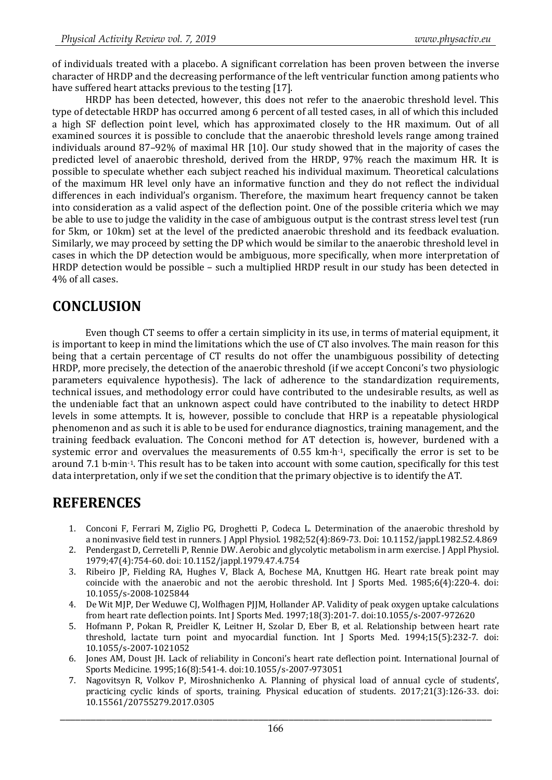of individuals treated with a placebo. A significant correlation has been proven between the inverse character of HRDP and the decreasing performance of the left ventricular function among patients who have suffered heart attacks previous to the testing [17].

HRDP has been detected, however, this does not refer to the anaerobic threshold level. This type of detectable HRDP has occurred among 6 percent of all tested cases, in all of which this included a high SF deflection point level, which has approximated closely to the HR maximum. Out of all examined sources it is possible to conclude that the anaerobic threshold levels range among trained individuals around 87–92% of maximal HR [10]. Our study showed that in the majority of cases the predicted level of anaerobic threshold, derived from the HRDP, 97% reach the maximum HR. It is possible to speculate whether each subject reached his individual maximum. Theoretical calculations of the maximum HR level only have an informative function and they do not reflect the individual differences in each individual's organism. Therefore, the maximum heart frequency cannot be taken into consideration as a valid aspect of the deflection point. One of the possible criteria which we may be able to use to judge the validity in the case of ambiguous output is the contrast stress level test (run for 5km, or 10km) set at the level of the predicted anaerobic threshold and its feedback evaluation. Similarly, we may proceed by setting the DP which would be similar to the anaerobic threshold level in cases in which the DP detection would be ambiguous, more specifically, when more interpretation of HRDP detection would be possible – such a multiplied HRDP result in our study has been detected in 4% of all cases.

## **CONCLUSION**

Even though CT seems to offer a certain simplicity in its use, in terms of material equipment, it is important to keep in mind the limitations which the use of CT also involves. The main reason for this being that a certain percentage of CT results do not offer the unambiguous possibility of detecting HRDP, more precisely, the detection of the anaerobic threshold (if we accept Conconi's two physiologic parameters equivalence hypothesis). The lack of adherence to the standardization requirements, technical issues, and methodology error could have contributed to the undesirable results, as well as the undeniable fact that an unknown aspect could have contributed to the inability to detect HRDP levels in some attempts. It is, however, possible to conclude that HRP is a repeatable physiological phenomenon and as such it is able to be used for endurance diagnostics, training management, and the training feedback evaluation. The Conconi method for AT detection is, however, burdened with a systemic error and overvalues the measurements of 0.55 km·h-1, specifically the error is set to be around 7.1 b·min-1. This result has to be taken into account with some caution, specifically for this test data interpretation, only if we set the condition that the primary objective is to identify the AT.

## **REFERENCES**

- 1. Conconi F, Ferrari M, Ziglio PG, Droghetti P, Codeca L. Determination of the anaerobic threshold by a noninvasive field test in runners. J Appl Physiol. 1982;52(4):869-73. Doi: 10.1152/jappl.1982.52.4.869
- 2. Pendergast D, Cerretelli P, Rennie DW. Aerobic and glycolytic metabolism in arm exercise. J Appl Physiol. 1979;47(4):754-60. doi: 10.1152/jappl.1979.47.4.754
- 3. Ribeiro JP, Fielding RA, Hughes V, Black A, Bochese MA, Knuttgen HG. Heart rate break point may coincide with the anaerobic and not the aerobic threshold. Int J Sports Med. 1985;6(4):220-4. doi: 10.1055/s-2008-1025844
- 4. De Wit MJP, Der Weduwe CJ, Wolfhagen PJJM, Hollander AP. Validity of peak oxygen uptake calculations from heart rate deflection points. Int J Sports Med. 1997;18(3):201-7. doi:10.1055/s-2007-972620
- 5. Hofmann P, Pokan R, Preidler K, Leitner H, Szolar D, Eber B, et al. Relationship between heart rate threshold, lactate turn point and myocardial function. Int J Sports Med. 1994;15(5):232-7. doi: 10.1055/s-2007-1021052
- 6. Jones AM, Doust JH. Lack of reliability in Conconi's heart rate deflection point. International Journal of Sports Medicine. 1995;16(8):541-4. doi:10.1055/s-2007-973051
- 7. Nagovitsyn R, Volkov P, Miroshnichenko A. Planning of physical load of annual cycle of students', practicing cyclic kinds of sports, training. Physical education of students. 2017;21(3):126-33. doi: 10.15561/20755279.2017.0305